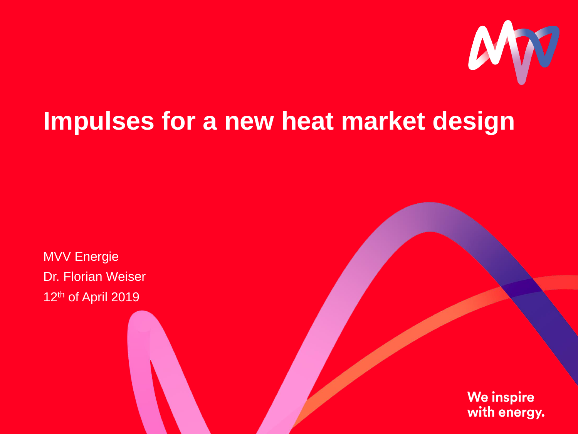

# **Impulses for a new heat market design**

MVV Energie Dr. Florian Weiser 12<sup>th</sup> of April 2019

> **We inspire** with energy.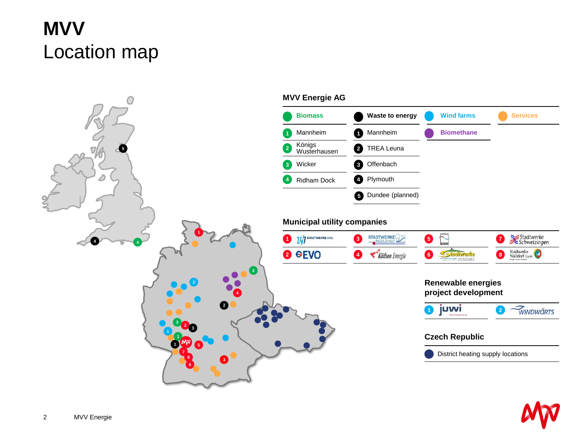# **MVV** Location map

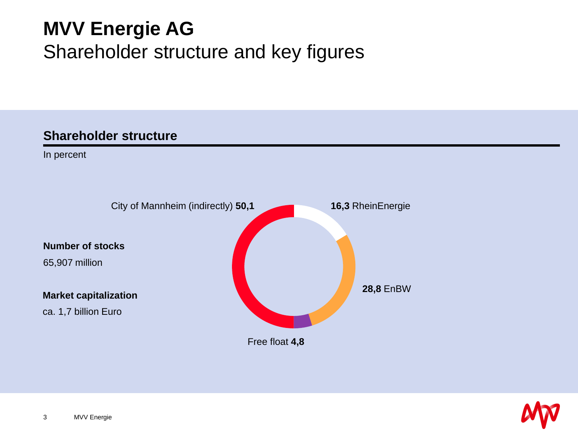# **MVV Energie AG** Shareholder structure and key figures

### **Shareholder structure**

In percent



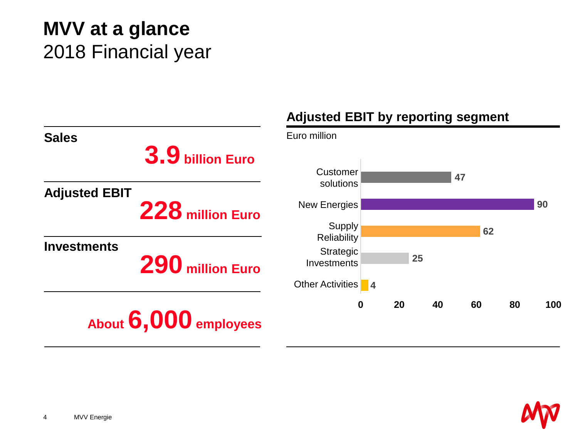# **MVV at a glance** 2018 Financial year

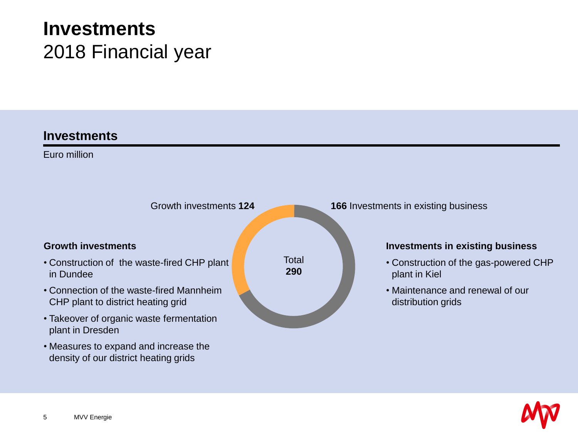## **Investments** 2018 Financial year

#### **Investments**

Euro million



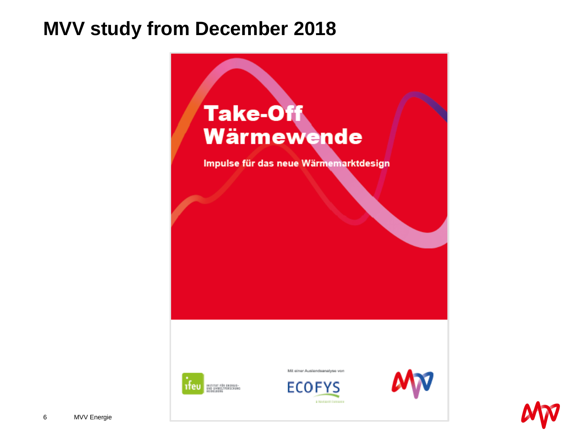### **MVV study from December 2018**



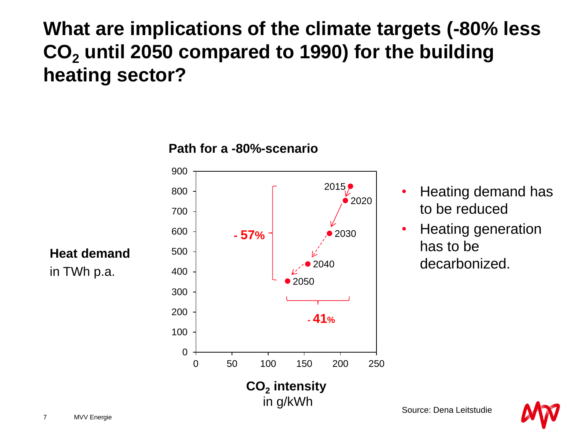**What are implications of the climate targets (-80% less CO<sup>2</sup> until 2050 compared to 1990) for the building heating sector?**



**Path for a -80%-scenario**

- Heating demand has to be reduced
- Heating generation has to be decarbonized.

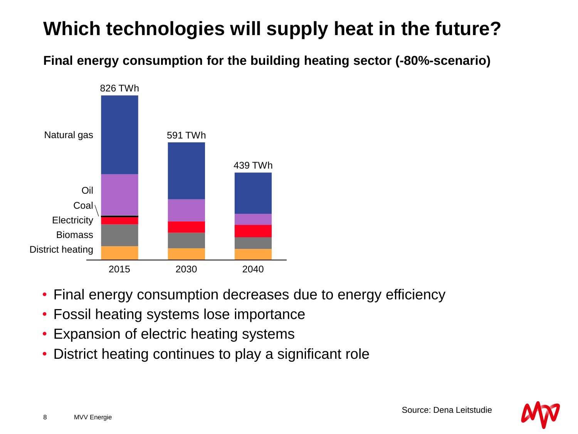# **Which technologies will supply heat in the future?**

**Final energy consumption for the building heating sector (-80%-scenario)**



- Final energy consumption decreases due to energy efficiency
- Fossil heating systems lose importance
- Expansion of electric heating systems
- District heating continues to play a significant role

Source: Dena Leitstudie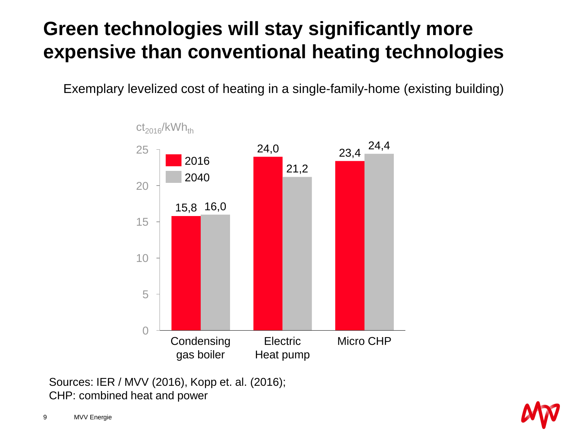# **Green technologies will stay significantly more expensive than conventional heating technologies**

Exemplary levelized cost of heating in a single-family-home (existing building)



Sources: IER / MVV (2016), Kopp et. al. (2016); CHP: combined heat and power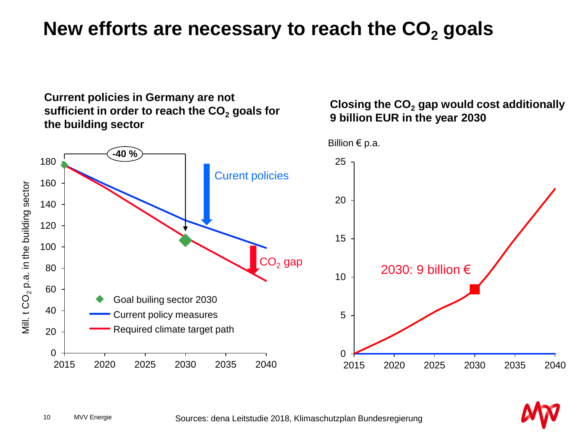### **New efforts are necessary to reach the CO<sup>2</sup> goals**

**Current policies in Germany are not sufficient in order to reach the CO<sup>2</sup> goals for the building sector**

#### **Closing the CO<sup>2</sup> gap would cost additionally 9 billion EUR in the year 2030**

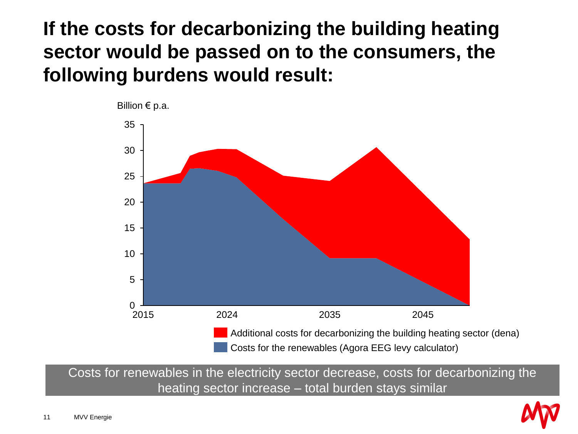### **If the costs for decarbonizing the building heating sector would be passed on to the consumers, the following burdens would result:**



Costs for renewables in the electricity sector decrease, costs for decarbonizing the heating sector increase – total burden stays similar

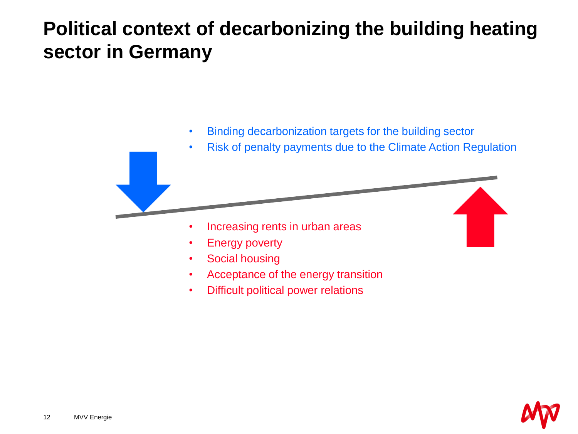### **Political context of decarbonizing the building heating sector in Germany**



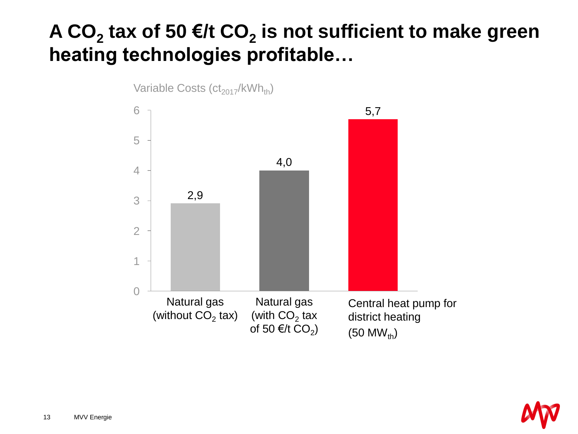# **A CO<sup>2</sup> tax of 50 €/t CO<sup>2</sup> is not sufficient to make green heating technologies profitable…**



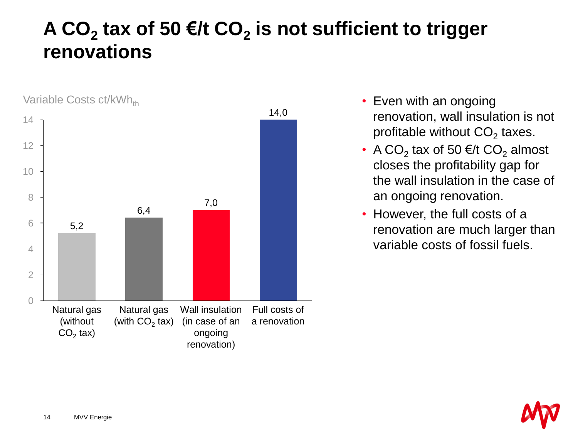### **A CO<sup>2</sup> tax of 50 €/t CO<sup>2</sup> is not sufficient to trigger renovations**



- Even with an ongoing renovation, wall insulation is not profitable without CO<sub>2</sub> taxes.
- A CO<sub>2</sub> tax of 50  $\epsilon$ /t CO<sub>2</sub> almost closes the profitability gap for the wall insulation in the case of an ongoing renovation.
- However, the full costs of a renovation are much larger than variable costs of fossil fuels.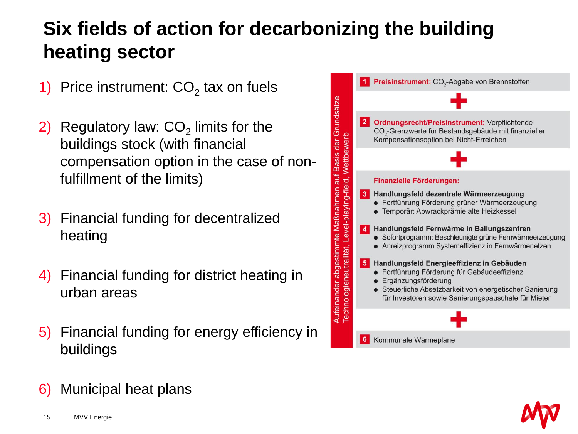# **Six fields of action for decarbonizing the building heating sector**

- 1) Price instrument:  $CO<sub>2</sub>$  tax on fuels
- 2) Regulatory law:  $CO<sub>2</sub>$  limits for the buildings stock (with financial compensation option in the case of nonfulfillment of the limits)
- 3) Financial funding for decentralized heating
- 4) Financial funding for district heating in urban areas
- 5) Financial funding for energy efficiency in buildings





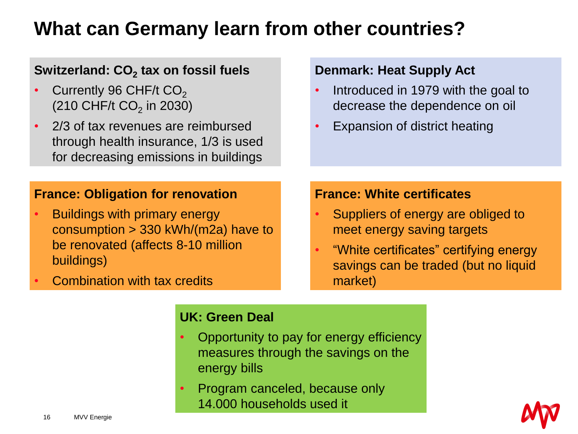### **What can Germany learn from other countries?**

### **Switzerland: CO<sup>2</sup> tax on fossil fuels**

- Currently 96 CHF/t  $CO<sub>2</sub>$  $(210 \text{ CHF/t CO}_2 \text{ in } 2030)$
- 2/3 of tax revenues are reimbursed through health insurance, 1/3 is used for decreasing emissions in buildings

#### **France: Obligation for renovation**

**Buildings with primary energy** consumption > 330 kWh/(m2a) have to be renovated (affects 8-10 million buildings)

• Combination with tax credits

#### **Denmark: Heat Supply Act**

- Introduced in 1979 with the goal to decrease the dependence on oil
- Expansion of district heating

#### **France: White certificates**

- Suppliers of energy are obliged to meet energy saving targets
- "White certificates" certifying energy savings can be traded (but no liquid market)

#### **UK: Green Deal**

- Opportunity to pay for energy efficiency measures through the savings on the energy bills
- Program canceled, because only 14.000 households used it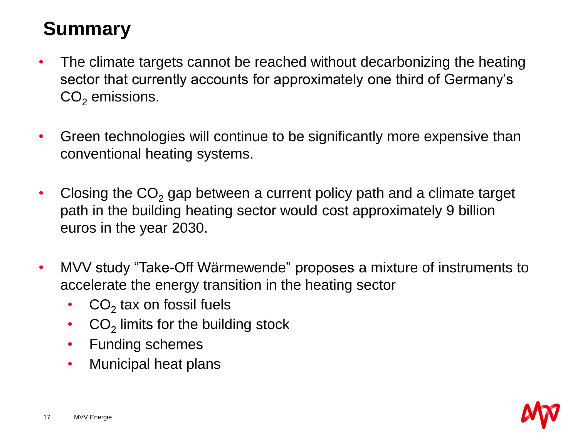# **Summary**

- The climate targets cannot be reached without decarbonizing the heating sector that currently accounts for approximately one third of Germany's  $CO<sub>2</sub>$  emissions.
- Green technologies will continue to be significantly more expensive than conventional heating systems.
- Closing the  $CO<sub>2</sub>$  gap between a current policy path and a climate target path in the building heating sector would cost approximately 9 billion euros in the year 2030.
- MVV study "Take-Off Wärmewende" proposes a mixture of instruments to accelerate the energy transition in the heating sector
	- $CO<sub>2</sub>$  tax on fossil fuels
	- $CO<sub>2</sub>$  limits for the building stock
	- Funding schemes
	- Municipal heat plans